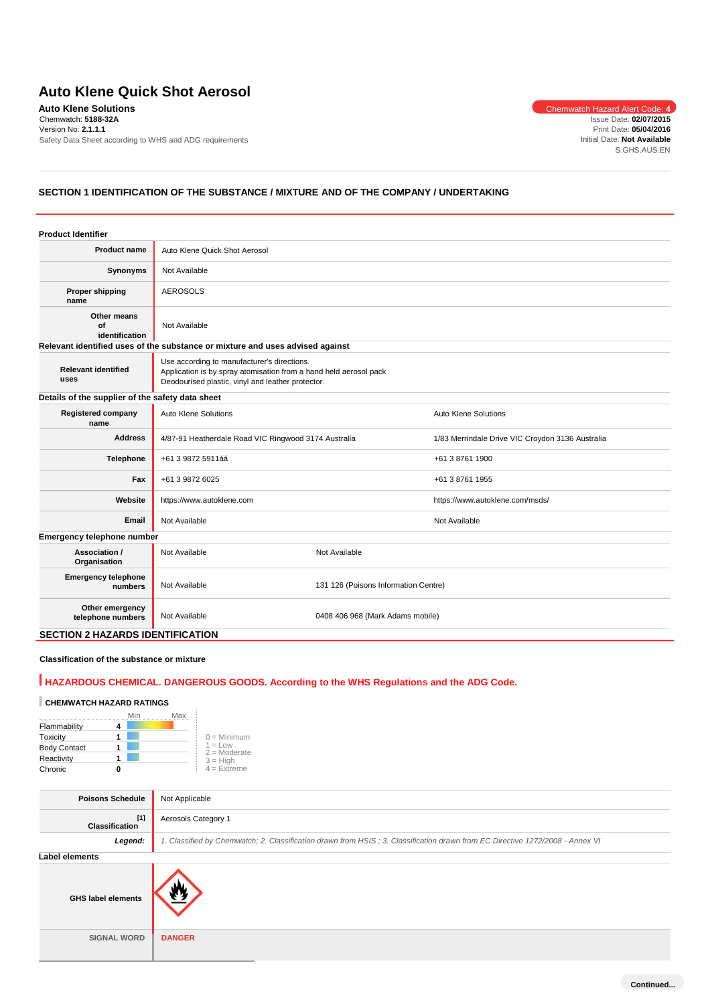# **Auto Klene Quick Shot Aerosol**

**Auto Klene Solutions** Chemwatch Hazard Alert Code: 4 Chemwatch: **5188-32A** Version No: **2.1.1.1** Safety Data Sheet according to WHS and ADG requirements

Issue Date: **02/07/2015** Print Date: **05/04/2016** Initial Date: **Not Available** S.GHS.AUS.EN

# **SECTION 1 IDENTIFICATION OF THE SUBSTANCE / MIXTURE AND OF THE COMPANY / UNDERTAKING**

| <b>Product Identifier</b>                        |                                                                                                                                                                       |                                      |                                                  |  |
|--------------------------------------------------|-----------------------------------------------------------------------------------------------------------------------------------------------------------------------|--------------------------------------|--------------------------------------------------|--|
| <b>Product name</b>                              | Auto Klene Quick Shot Aerosol                                                                                                                                         |                                      |                                                  |  |
| Synonyms                                         | Not Available                                                                                                                                                         |                                      |                                                  |  |
| <b>Proper shipping</b><br>name                   | <b>AEROSOLS</b>                                                                                                                                                       |                                      |                                                  |  |
| Other means<br>of<br>identification              | Not Available                                                                                                                                                         |                                      |                                                  |  |
|                                                  | Relevant identified uses of the substance or mixture and uses advised against                                                                                         |                                      |                                                  |  |
| <b>Relevant identified</b><br>uses               | Use according to manufacturer's directions.<br>Application is by spray atomisation from a hand held aerosol pack<br>Deodourised plastic, vinyl and leather protector. |                                      |                                                  |  |
| Details of the supplier of the safety data sheet |                                                                                                                                                                       |                                      |                                                  |  |
| <b>Registered company</b><br>name                | Auto Klene Solutions                                                                                                                                                  |                                      | Auto Klene Solutions                             |  |
| <b>Address</b>                                   | 4/87-91 Heatherdale Road VIC Ringwood 3174 Australia                                                                                                                  |                                      | 1/83 Merrindale Drive VIC Croydon 3136 Australia |  |
| <b>Telephone</b>                                 | +61 3 9872 5911áá                                                                                                                                                     |                                      | +61 3 8761 1900                                  |  |
| Fax                                              | +61 3 9872 6025                                                                                                                                                       |                                      | +61 3 8761 1955                                  |  |
| Website                                          | https://www.autoklene.com                                                                                                                                             |                                      | https://www.autoklene.com/msds/                  |  |
| Email                                            | Not Available                                                                                                                                                         |                                      | Not Available                                    |  |
| Emergency telephone number                       |                                                                                                                                                                       |                                      |                                                  |  |
| Association /<br>Organisation                    | Not Available                                                                                                                                                         | Not Available                        |                                                  |  |
| <b>Emergency telephone</b><br>numbers            | Not Available                                                                                                                                                         | 131 126 (Poisons Information Centre) |                                                  |  |
| Other emergency<br>telephone numbers             | Not Available                                                                                                                                                         | 0408 406 968 (Mark Adams mobile)     |                                                  |  |
| <b>SECTION 2 HAZARDS IDENTIFICATION</b>          |                                                                                                                                                                       |                                      |                                                  |  |

## **Classification of the substance or mixture**

# **HAZARDOUS CHEMICAL. DANGEROUS GOODS. According to the WHS Regulations and the ADG Code.**

# **CHEMWATCH HAZARD RATINGS**

|                     | Min | Max                         |
|---------------------|-----|-----------------------------|
| Flammability        |     |                             |
| Toxicity            |     | $0 =$ Minimum               |
| <b>Body Contact</b> |     | $1 = Low$<br>$2 =$ Moderate |
| Reactivity          |     | $3 = High$                  |
| Chronic             |     | $4 = Ex$ freme              |

| <b>Poisons Schedule</b>        | Not Applicable                                                                                                                |
|--------------------------------|-------------------------------------------------------------------------------------------------------------------------------|
| $[1]$<br><b>Classification</b> | Aerosols Category 1                                                                                                           |
| Legend:                        | 1. Classified by Chemwatch; 2. Classification drawn from HSIS; 3. Classification drawn from EC Directive 1272/2008 - Annex VI |
| Label elements                 |                                                                                                                               |
| <b>GHS label elements</b>      |                                                                                                                               |
| <b>SIGNAL WORD</b>             | <b>DANGER</b>                                                                                                                 |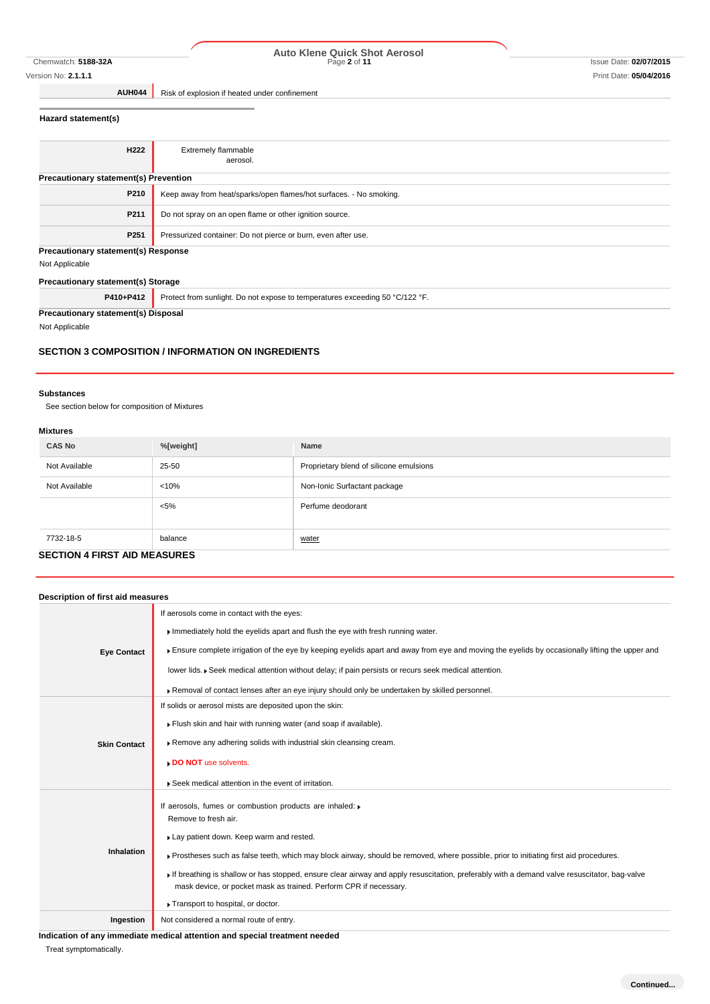# Chemwatch: **5188-32A** Page **2** of **11** Issue Date: **02/07/2015 Auto Klene Quick Shot Aerosol**

**AUH044** Risk of explosion if heated under confinement

# **Hazard statement(s)**

| H222                                         | <b>Extremely flammable</b>                                                   |  |  |
|----------------------------------------------|------------------------------------------------------------------------------|--|--|
|                                              |                                                                              |  |  |
|                                              | aerosol.                                                                     |  |  |
| <b>Precautionary statement(s) Prevention</b> |                                                                              |  |  |
| P210                                         | Keep away from heat/sparks/open flames/hot surfaces. - No smoking.           |  |  |
|                                              |                                                                              |  |  |
| P211                                         | Do not spray on an open flame or other ignition source.                      |  |  |
|                                              |                                                                              |  |  |
| P <sub>251</sub>                             | Pressurized container: Do not pierce or burn, even after use.                |  |  |
|                                              |                                                                              |  |  |
| <b>Precautionary statement(s) Response</b>   |                                                                              |  |  |
| Not Applicable                               |                                                                              |  |  |
|                                              |                                                                              |  |  |
| <b>Precautionary statement(s) Storage</b>    |                                                                              |  |  |
| P410+P412                                    | Protect from sunlight. Do not expose to temperatures exceeding 50 °C/122 °F. |  |  |
|                                              |                                                                              |  |  |

**Precautionary statement(s) Disposal**

Not Applicable

### **SECTION 3 COMPOSITION / INFORMATION ON INGREDIENTS**

### **Substances**

See section below for composition of Mixtures

### **Mixtures**

| <b>CAS No</b>  | %[weight] | Name                                    |
|----------------|-----------|-----------------------------------------|
| Not Available  | 25-50     | Proprietary blend of silicone emulsions |
| Not Available  | < 10%     | Non-Ionic Surfactant package            |
|                | $< 5\%$   | Perfume deodorant                       |
|                |           |                                         |
| 7732-18-5      | balance   | water                                   |
| $\overline{C}$ |           |                                         |

# **SECTION 4 FIRST AID MEASURES**

| Description of first aid measures |                                                                                                                                                                                                                                                                                                                                                                                                                                                                                                                            |  |  |  |
|-----------------------------------|----------------------------------------------------------------------------------------------------------------------------------------------------------------------------------------------------------------------------------------------------------------------------------------------------------------------------------------------------------------------------------------------------------------------------------------------------------------------------------------------------------------------------|--|--|--|
| <b>Eye Contact</b>                | If aerosols come in contact with the eyes:<br>Immediately hold the eyelids apart and flush the eye with fresh running water.<br>Ensure complete irrigation of the eye by keeping eyelids apart and away from eye and moving the eyelids by occasionally lifting the upper and<br>lower lids. ▶ Seek medical attention without delay; if pain persists or recurs seek medical attention.<br>Removal of contact lenses after an eye injury should only be undertaken by skilled personnel.                                   |  |  |  |
| <b>Skin Contact</b>               | If solids or aerosol mists are deposited upon the skin:<br>Flush skin and hair with running water (and soap if available).<br>Remove any adhering solids with industrial skin cleansing cream.<br>DO NOT use solvents.<br>Seek medical attention in the event of irritation.                                                                                                                                                                                                                                               |  |  |  |
| <b>Inhalation</b>                 | If aerosols, fumes or combustion products are inhaled:<br>Remove to fresh air.<br>Lay patient down. Keep warm and rested.<br>Frostheses such as false teeth, which may block airway, should be removed, where possible, prior to initiating first aid procedures.<br>If breathing is shallow or has stopped, ensure clear airway and apply resuscitation, preferably with a demand valve resuscitator, bag-valve<br>mask device, or pocket mask as trained. Perform CPR if necessary.<br>Transport to hospital, or doctor. |  |  |  |
| Ingestion                         | Not considered a normal route of entry.                                                                                                                                                                                                                                                                                                                                                                                                                                                                                    |  |  |  |

**Indication of any immediate medical attention and special treatment needed**

Treat symptomatically.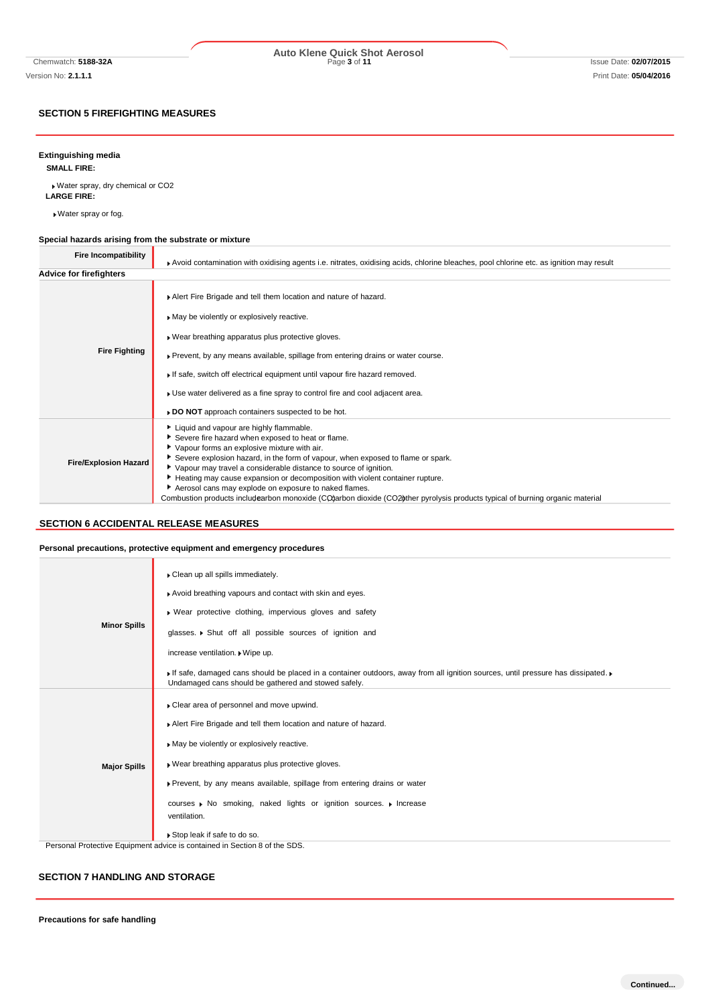# Chemwatch: **5188-32A** Page **3** of **11** Issue Date: **02/07/2015 Auto Klene Quick Shot Aerosol**

# **SECTION 5 FIREFIGHTING MEASURES**

# **Extinguishing media**

**SMALL FIRE:**

Water spray, dry chemical or CO2 **LARGE FIRE:**

Water spray or fog.

# **Special hazards arising from the substrate or mixture**

| <b>Fire Incompatibility</b>    | Avoid contamination with oxidising agents i.e. nitrates, oxidising acids, chlorine bleaches, pool chlorine etc. as ignition may result                                                                                                                                                                                                                                                                                                                                                                                                                                       |  |  |  |
|--------------------------------|------------------------------------------------------------------------------------------------------------------------------------------------------------------------------------------------------------------------------------------------------------------------------------------------------------------------------------------------------------------------------------------------------------------------------------------------------------------------------------------------------------------------------------------------------------------------------|--|--|--|
| <b>Advice for firefighters</b> |                                                                                                                                                                                                                                                                                                                                                                                                                                                                                                                                                                              |  |  |  |
| <b>Fire Fighting</b>           | Alert Fire Brigade and tell them location and nature of hazard.<br>May be violently or explosively reactive.<br>▶ Wear breathing apparatus plus protective gloves.<br>▶ Prevent, by any means available, spillage from entering drains or water course.<br>If safe, switch off electrical equipment until vapour fire hazard removed.<br>► Use water delivered as a fine spray to control fire and cool adjacent area.<br>DO NOT approach containers suspected to be hot.                                                                                                    |  |  |  |
| <b>Fire/Explosion Hazard</b>   | Liquid and vapour are highly flammable.<br>Severe fire hazard when exposed to heat or flame.<br>Vapour forms an explosive mixture with air.<br>Severe explosion hazard, in the form of vapour, when exposed to flame or spark.<br>Vapour may travel a considerable distance to source of ignition.<br>Heating may cause expansion or decomposition with violent container rupture.<br>Aerosol cans may explode on exposure to naked flames.<br>Combustion products includearbon monoxide (CO)arbon dioxide (CO2) ther pyrolysis products typical of burning organic material |  |  |  |

# **SECTION 6 ACCIDENTAL RELEASE MEASURES**

### **Personal precautions, protective equipment and emergency procedures**

| <b>Minor Spills</b> | Clean up all spills immediately.<br>Avoid breathing vapours and contact with skin and eyes.<br>• Wear protective clothing, impervious gloves and safety<br>glasses. » Shut off all possible sources of ignition and<br>increase ventilation. Wipe up.<br>If safe, damaged cans should be placed in a container outdoors, away from all ignition sources, until pressure has dissipated.<br>Undamaged cans should be gathered and stowed safely. |
|---------------------|-------------------------------------------------------------------------------------------------------------------------------------------------------------------------------------------------------------------------------------------------------------------------------------------------------------------------------------------------------------------------------------------------------------------------------------------------|
| <b>Major Spills</b> | Clear area of personnel and move upwind.<br>Alert Fire Brigade and tell them location and nature of hazard.<br>May be violently or explosively reactive.<br>. Wear breathing apparatus plus protective gloves.<br>Prevent, by any means available, spillage from entering drains or water<br>courses Mo smoking, naked lights or ignition sources. Morease<br>ventilation.<br>Stop leak if safe to do so.                                       |
|                     | Personal Protective Equipment advice is contained in Section 8 of the SDS.                                                                                                                                                                                                                                                                                                                                                                      |

# **SECTION 7 HANDLING AND STORAGE**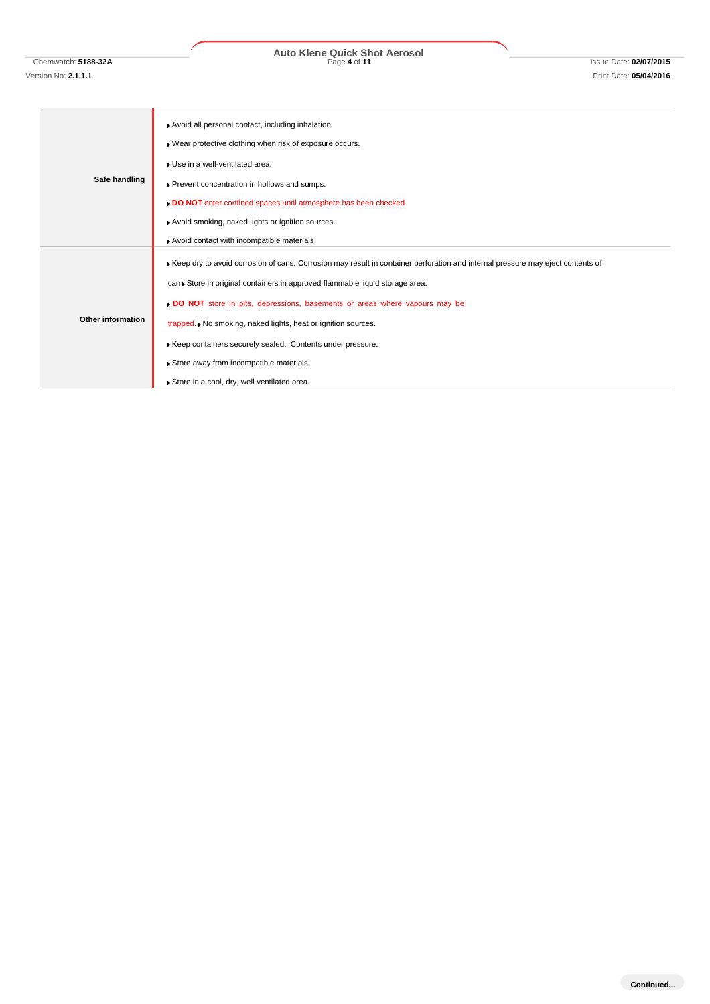# Chemwatch: **5188-32A** Page **4** of **11** Issue Date: **02/07/2015 Auto Klene Quick Shot Aerosol**

| Safe handling     | Avoid all personal contact, including inhalation.<br>. Wear protective clothing when risk of exposure occurs.<br>Use in a well-ventilated area.<br>Prevent concentration in hollows and sumps.<br>DO NOT enter confined spaces until atmosphere has been checked.<br>Avoid smoking, naked lights or ignition sources.<br>Avoid contact with incompatible materials.                                                                                                                                                    |  |  |
|-------------------|------------------------------------------------------------------------------------------------------------------------------------------------------------------------------------------------------------------------------------------------------------------------------------------------------------------------------------------------------------------------------------------------------------------------------------------------------------------------------------------------------------------------|--|--|
| Other information | ▶ Keep dry to avoid corrosion of cans. Corrosion may result in container perforation and internal pressure may eject contents of<br>can Ctore in original containers in approved flammable liquid storage area.<br>DO NOT store in pits, depressions, basements or areas where vapours may be<br>trapped. • No smoking, naked lights, heat or ignition sources.<br>Keep containers securely sealed. Contents under pressure.<br>Store away from incompatible materials.<br>Store in a cool, dry, well ventilated area. |  |  |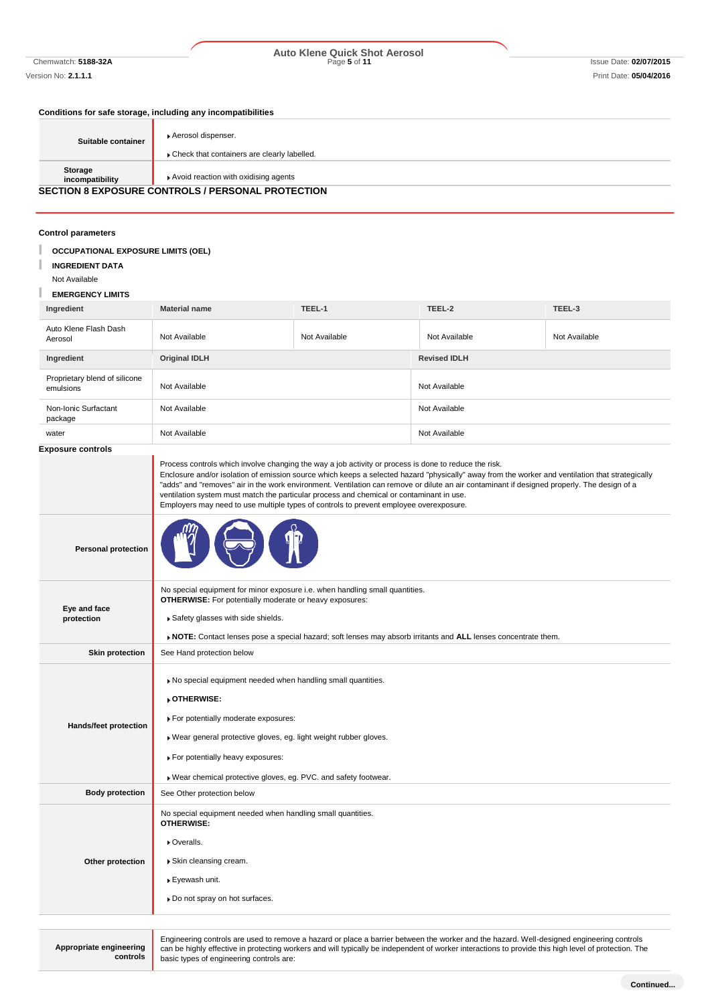# Chemwatch: **5188-32A** Page **5** of **11** Issue Date: **02/07/2015 Auto Klene Quick Shot Aerosol**

# **Conditions for safe storage, including any incompatibilities**

| Suitable container         | Aerosol dispenser.<br>Check that containers are clearly labelled. |  |  |
|----------------------------|-------------------------------------------------------------------|--|--|
| Storage<br>incompatibility | Avoid reaction with oxidising agents                              |  |  |
|                            | <b>SECTION 8 EXPOSURE CONTROLS / PERSONAL PROTECTION</b>          |  |  |

# **Control parameters**

**controls**

basic types of engineering controls are:

| Control parameters                         |                                                                                                                                                                                                                                                                                                                                                                                                                                                                                                                                                                                                |               |                     |               |  |
|--------------------------------------------|------------------------------------------------------------------------------------------------------------------------------------------------------------------------------------------------------------------------------------------------------------------------------------------------------------------------------------------------------------------------------------------------------------------------------------------------------------------------------------------------------------------------------------------------------------------------------------------------|---------------|---------------------|---------------|--|
| <b>OCCUPATIONAL EXPOSURE LIMITS (OEL)</b>  |                                                                                                                                                                                                                                                                                                                                                                                                                                                                                                                                                                                                |               |                     |               |  |
| <b>INGREDIENT DATA</b>                     |                                                                                                                                                                                                                                                                                                                                                                                                                                                                                                                                                                                                |               |                     |               |  |
| Not Available                              |                                                                                                                                                                                                                                                                                                                                                                                                                                                                                                                                                                                                |               |                     |               |  |
| <b>EMERGENCY LIMITS</b>                    |                                                                                                                                                                                                                                                                                                                                                                                                                                                                                                                                                                                                |               |                     |               |  |
| Ingredient                                 | <b>Material name</b>                                                                                                                                                                                                                                                                                                                                                                                                                                                                                                                                                                           | TEEL-1        | TEEL-2              | TEEL-3        |  |
| Auto Klene Flash Dash<br>Aerosol           | Not Available                                                                                                                                                                                                                                                                                                                                                                                                                                                                                                                                                                                  | Not Available | Not Available       | Not Available |  |
| Ingredient                                 | <b>Original IDLH</b>                                                                                                                                                                                                                                                                                                                                                                                                                                                                                                                                                                           |               | <b>Revised IDLH</b> |               |  |
| Proprietary blend of silicone<br>emulsions | Not Available                                                                                                                                                                                                                                                                                                                                                                                                                                                                                                                                                                                  |               | Not Available       |               |  |
| Non-Ionic Surfactant<br>package            | Not Available                                                                                                                                                                                                                                                                                                                                                                                                                                                                                                                                                                                  |               | Not Available       |               |  |
| water                                      | Not Available                                                                                                                                                                                                                                                                                                                                                                                                                                                                                                                                                                                  |               | Not Available       |               |  |
| <b>Exposure controls</b>                   |                                                                                                                                                                                                                                                                                                                                                                                                                                                                                                                                                                                                |               |                     |               |  |
|                                            | Process controls which involve changing the way a job activity or process is done to reduce the risk.<br>Enclosure and/or isolation of emission source which keeps a selected hazard "physically" away from the worker and ventilation that strategically<br>"adds" and "removes" air in the work environment. Ventilation can remove or dilute an air contaminant if designed properly. The design of a<br>ventilation system must match the particular process and chemical or contaminant in use.<br>Employers may need to use multiple types of controls to prevent employee overexposure. |               |                     |               |  |
| <b>Personal protection</b>                 |                                                                                                                                                                                                                                                                                                                                                                                                                                                                                                                                                                                                |               |                     |               |  |
| Eye and face<br>protection                 | No special equipment for minor exposure i.e. when handling small quantities.<br><b>OTHERWISE:</b> For potentially moderate or heavy exposures:<br>Safety glasses with side shields.                                                                                                                                                                                                                                                                                                                                                                                                            |               |                     |               |  |
|                                            | ▶ NOTE: Contact lenses pose a special hazard; soft lenses may absorb irritants and ALL lenses concentrate them.                                                                                                                                                                                                                                                                                                                                                                                                                                                                                |               |                     |               |  |
| <b>Skin protection</b>                     | See Hand protection below                                                                                                                                                                                                                                                                                                                                                                                                                                                                                                                                                                      |               |                     |               |  |
| Hands/feet protection                      | No special equipment needed when handling small quantities.<br>▶ OTHERWISE:<br>For potentially moderate exposures:<br>Wear general protective gloves, eg. light weight rubber gloves.<br>For potentially heavy exposures:<br>Wear chemical protective gloves, eg. PVC. and safety footwear.                                                                                                                                                                                                                                                                                                    |               |                     |               |  |
| <b>Body protection</b>                     | See Other protection below                                                                                                                                                                                                                                                                                                                                                                                                                                                                                                                                                                     |               |                     |               |  |
| Other protection                           | No special equipment needed when handling small quantities.<br><b>OTHERWISE:</b><br>▶ Overalls.<br>Skin cleansing cream.<br>▶ Eyewash unit.                                                                                                                                                                                                                                                                                                                                                                                                                                                    |               |                     |               |  |
|                                            | » Do not spray on hot surfaces.                                                                                                                                                                                                                                                                                                                                                                                                                                                                                                                                                                |               |                     |               |  |
|                                            |                                                                                                                                                                                                                                                                                                                                                                                                                                                                                                                                                                                                |               |                     |               |  |
| Appropriate engineering                    | Engineering controls are used to remove a hazard or place a barrier between the worker and the hazard. Well-designed engineering controls<br>can be highly effective in protecting workers and will typically be independent of worker interactions to provide this high level of protection. The                                                                                                                                                                                                                                                                                              |               |                     |               |  |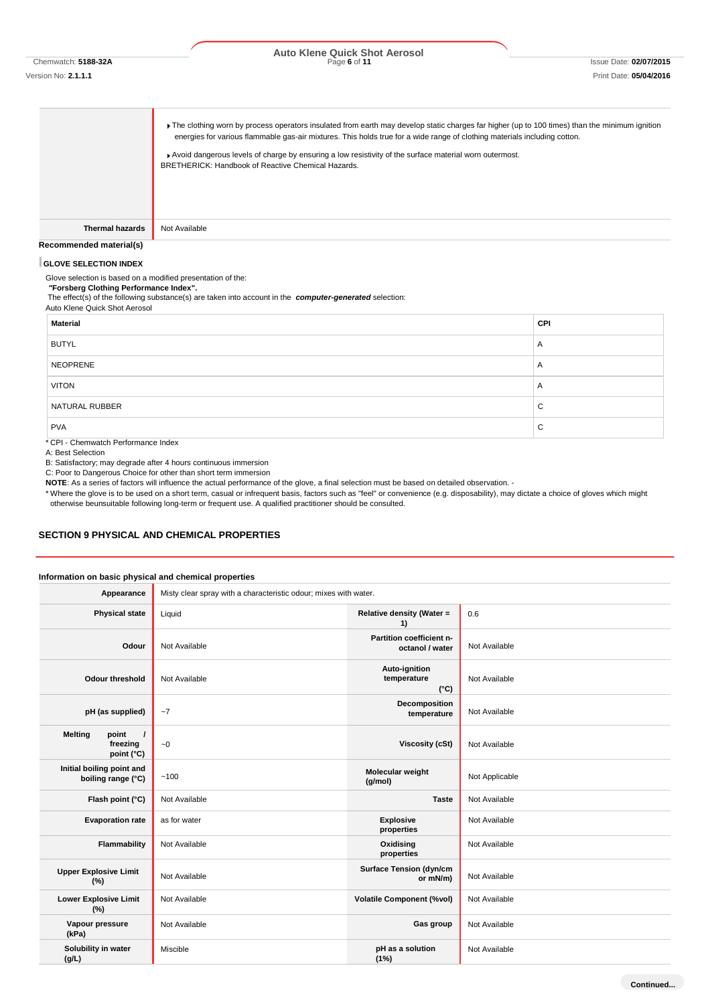#### Version No: **2.1.1.1** Print Date: **05/04/2016**

# Chemwatch: **5188-32A** Page **6** of **11** Issue Date: **02/07/2015 Auto Klene Quick Shot Aerosol**

Fine clothing worn by process operators insulated from earth may develop static charges far higher (up to 100 times) than the minimum ignition energies for various flammable gas-air mixtures. This holds true for a wide range of clothing materials including cotton.

Avoid dangerous levels of charge by ensuring a low resistivity of the surface material worn outermost. BRETHERICK: Handbook of Reactive Chemical Hazards.

**Thermal hazards** Not Available

#### **Recommended material(s)**

#### **GLOVE SELECTION INDEX**

Glove selection is based on a modified presentation of the:

*"***Forsberg Clothing Performance Index".**

The effect(s) of the following substance(s) are taken into account in the *computer-generated* selection: Auto Klene Quick Shot Aerosol

| Material                                                | CPI |
|---------------------------------------------------------|-----|
| <b>BUTYL</b>                                            | A   |
| <b>NEOPRENE</b>                                         | A   |
| <b>VITON</b>                                            | A   |
| NATURAL RUBBER                                          | C   |
| <b>PVA</b><br>$*$ ODL. Of concertain Darksman and Latin | C   |

\* CPI - Chemwatch Performance Index

A: Best Selection

B: Satisfactory; may degrade after 4 hours continuous immersion

C: Poor to Dangerous Choice for other than short term immersion

**NOTE**: As a series of factors will influence the actual performance of the glove, a final selection must be based on detailed observation. -

\* Where the glove is to be used on a short term, casual or infrequent basis, factors such as "feel" or convenience (e.g. disposability), may dictate a choice of gloves which might otherwise beunsuitable following long-term or frequent use. A qualified practitioner should be consulted.

### **SECTION 9 PHYSICAL AND CHEMICAL PROPERTIES**

### **Information on basic physical and chemical properties**

| Appearance                                                    | Misty clear spray with a characteristic odour; mixes with water. |                                               |                |
|---------------------------------------------------------------|------------------------------------------------------------------|-----------------------------------------------|----------------|
| <b>Physical state</b>                                         | Liquid                                                           | Relative density (Water =<br>1)               | 0.6            |
| Odour                                                         | Not Available                                                    | Partition coefficient n-<br>octanol / water   | Not Available  |
| <b>Odour threshold</b>                                        | Not Available                                                    | Auto-ignition<br>temperature<br>$(^{\circ}C)$ | Not Available  |
| pH (as supplied)                                              | ~1                                                               | Decomposition<br>temperature                  | Not Available  |
| <b>Melting</b><br>point<br>$\prime$<br>freezing<br>point (°C) | $\sim 0$                                                         | <b>Viscosity (cSt)</b>                        | Not Available  |
| Initial boiling point and<br>boiling range (°C)               | ~100                                                             | Molecular weight<br>(g/mol)                   | Not Applicable |
| Flash point (°C)                                              | Not Available                                                    | <b>Taste</b>                                  | Not Available  |
| <b>Evaporation rate</b>                                       | as for water                                                     | <b>Explosive</b><br>properties                | Not Available  |
| Flammability                                                  | Not Available                                                    | Oxidising<br>properties                       | Not Available  |
| <b>Upper Explosive Limit</b><br>(%)                           | Not Available                                                    | <b>Surface Tension (dyn/cm</b><br>or mN/m)    | Not Available  |
| <b>Lower Explosive Limit</b><br>(%)                           | Not Available                                                    | <b>Volatile Component (%vol)</b>              | Not Available  |
| Vapour pressure<br>(kPa)                                      | Not Available                                                    | Gas group                                     | Not Available  |
| Solubility in water<br>(g/L)                                  | Miscible                                                         | pH as a solution<br>(1%)                      | Not Available  |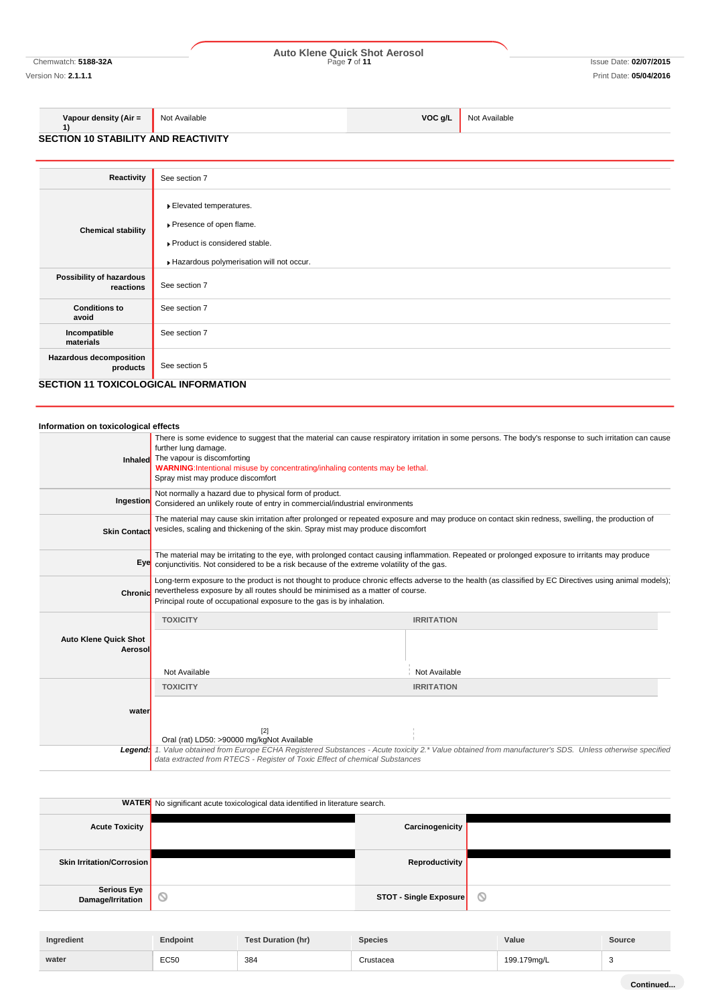# Chemwatch: **5188-32A** Page **7** of **11** Issue Date: **02/07/2015 Auto Klene Quick Shot Aerosol**

Version No: **2.1.1.1** Print Date: **05/04/2016**

#### **Vapour density (Air =**  Not Available **VOC g/L** Not Available

**1) SECTION 10 STABILITY AND REACTIVITY**

| Reactivity                                                                         | See section 7                                                                                                                      |
|------------------------------------------------------------------------------------|------------------------------------------------------------------------------------------------------------------------------------|
| <b>Chemical stability</b>                                                          | Elevated temperatures.<br>▶ Presence of open flame.<br>▶ Product is considered stable.<br>Hazardous polymerisation will not occur. |
| Possibility of hazardous<br>reactions                                              | See section 7                                                                                                                      |
| <b>Conditions to</b><br>avoid                                                      | See section 7                                                                                                                      |
| Incompatible<br>materials                                                          | See section 7                                                                                                                      |
| <b>Hazardous decomposition</b><br>products<br>SECTION 11 TOXICOLOGICAL INFORMATION | See section 5                                                                                                                      |

# **SECTION 11 TOXICOLOGICAL INFORMATION**

| Information on toxicological effects    |                                                                                                                                                                                                               |                                                                                                                                                          |  |  |
|-----------------------------------------|---------------------------------------------------------------------------------------------------------------------------------------------------------------------------------------------------------------|----------------------------------------------------------------------------------------------------------------------------------------------------------|--|--|
| Inhaled                                 | There is some evidence to suggest that the material can cause respiratory irritation in some persons. The body's response to such irritation can cause<br>further lung damage.<br>The vapour is discomforting |                                                                                                                                                          |  |  |
|                                         | WARNING: Intentional misuse by concentrating/inhaling contents may be lethal.<br>Spray mist may produce discomfort                                                                                            |                                                                                                                                                          |  |  |
| Ingestion                               | Not normally a hazard due to physical form of product.<br>Considered an unlikely route of entry in commercial/industrial environments                                                                         |                                                                                                                                                          |  |  |
| <b>Skin Contact</b>                     | vesicles, scaling and thickening of the skin. Spray mist may produce discomfort                                                                                                                               | The material may cause skin irritation after prolonged or repeated exposure and may produce on contact skin redness, swelling, the production of         |  |  |
|                                         | Eye conjunctivitis. Not considered to be a risk because of the extreme volatility of the gas.                                                                                                                 | The material may be irritating to the eye, with prolonged contact causing inflammation. Repeated or prolonged exposure to irritants may produce          |  |  |
|                                         | Chronic nevertheless exposure by all routes should be minimised as a matter of course.<br>Principal route of occupational exposure to the gas is by inhalation.                                               | Long-term exposure to the product is not thought to produce chronic effects adverse to the health (as classified by EC Directives using animal models);  |  |  |
|                                         | <b>TOXICITY</b>                                                                                                                                                                                               | <b>IRRITATION</b>                                                                                                                                        |  |  |
| <b>Auto Klene Quick Shot</b><br>Aerosol |                                                                                                                                                                                                               |                                                                                                                                                          |  |  |
|                                         | Not Available                                                                                                                                                                                                 | Not Available                                                                                                                                            |  |  |
|                                         | <b>TOXICITY</b>                                                                                                                                                                                               | <b>IRRITATION</b>                                                                                                                                        |  |  |
| water                                   |                                                                                                                                                                                                               |                                                                                                                                                          |  |  |
|                                         | [2]<br>Oral (rat) LD50: >90000 mg/kgNot Available                                                                                                                                                             |                                                                                                                                                          |  |  |
|                                         | data extracted from RTECS - Register of Toxic Effect of chemical Substances                                                                                                                                   | Legend: 1. Value obtained from Europe ECHA Registered Substances - Acute toxicity 2.* Value obtained from manufacturer's SDS. Unless otherwise specified |  |  |

|                                         | WATER No significant acute toxicological data identified in literature search. |                        |   |
|-----------------------------------------|--------------------------------------------------------------------------------|------------------------|---|
| <b>Acute Toxicity</b>                   |                                                                                | Carcinogenicity        |   |
| <b>Skin Irritation/Corrosion</b>        |                                                                                | Reproductivity         |   |
| <b>Serious Eye</b><br>Damage/Irritation |                                                                                | STOT - Single Exposure | O |
|                                         |                                                                                |                        |   |

| Ingredient | Endpoint         | <b>Test Duration (hr)</b> | <b>Species</b> | Value       | Source |
|------------|------------------|---------------------------|----------------|-------------|--------|
| water      | <b>EC50</b><br>. | 384<br>$ -$               | Crustacea      | 199.179mg/L |        |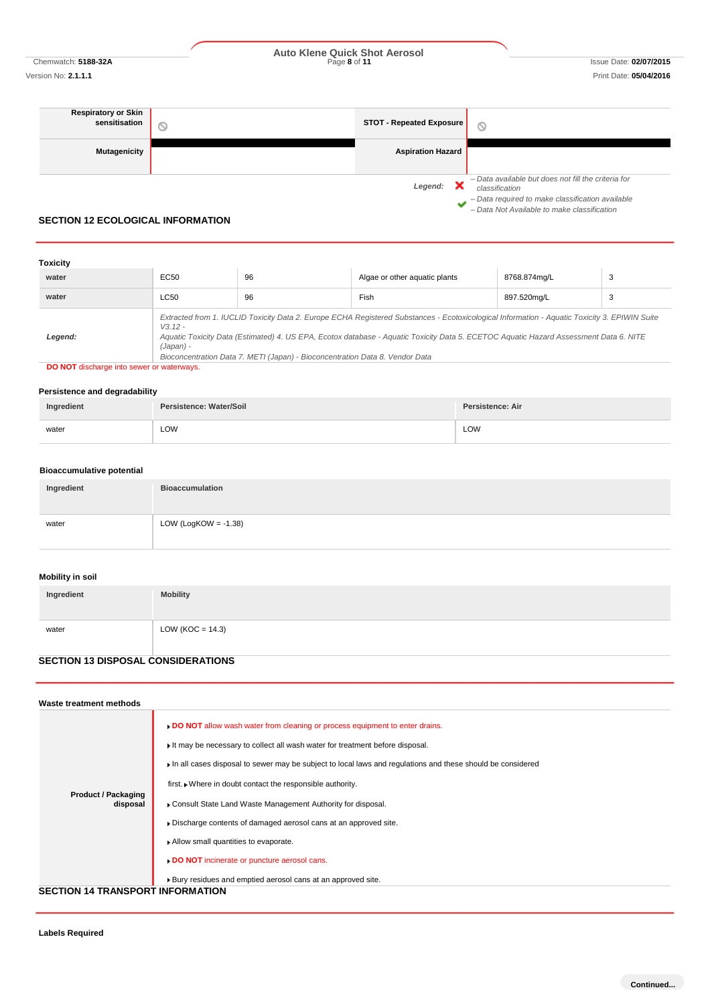Chemwatch: **5188-32A** Page **8** of **11** Issue Date: **02/07/2015 Auto Klene Quick Shot Aerosol**

*– Data required to make classification available – Data Not Available to make classification*

| <b>Respiratory or Skin</b><br>sensitisation | STOT - Repeated Exposure | O                                                                     |
|---------------------------------------------|--------------------------|-----------------------------------------------------------------------|
| <b>Mutagenicity</b>                         | <b>Aspiration Hazard</b> |                                                                       |
|                                             | Legend:                  | - Data available but does not fill the criteria for<br>classification |

# **SECTION 12 ECOLOGICAL INFORMATION**

| <b>Toxicity</b> |                        |                                                                              |                                                                                                                                                                                                                                                                                        |              |   |
|-----------------|------------------------|------------------------------------------------------------------------------|----------------------------------------------------------------------------------------------------------------------------------------------------------------------------------------------------------------------------------------------------------------------------------------|--------------|---|
| water           | EC50                   | 96                                                                           | Algae or other aguatic plants                                                                                                                                                                                                                                                          | 8768.874mg/L | 3 |
| water           | LC50                   | 96                                                                           | Fish                                                                                                                                                                                                                                                                                   | 897.520mg/L  | 3 |
| Legend:         | $V3.12 -$<br>(Japan) - | Bioconcentration Data 7. METI (Japan) - Bioconcentration Data 8. Vendor Data | Extracted from 1. IUCLID Toxicity Data 2. Europe ECHA Registered Substances - Ecotoxicological Information - Aquatic Toxicity 3. EPIWIN Suite<br>Aquatic Toxicity Data (Estimated) 4. US EPA, Ecotox database - Aquatic Toxicity Data 5. ECETOC Aquatic Hazard Assessment Data 6. NITE |              |   |

**DO NOT** discharge into sewer or waterways.

### **Persistence and degradability**

| Ingredient | Persistence: Water/Soil | Persistence: Air |
|------------|-------------------------|------------------|
| water      | LOW                     | LOW              |

### **Bioaccumulative potential**

| Ingredient | <b>Bioaccumulation</b>  |
|------------|-------------------------|
| water      | LOW (LogKOW = $-1.38$ ) |

# **Mobility in soil**

| Ingredient | <b>Mobility</b>      |  |
|------------|----------------------|--|
|            |                      |  |
| water      | LOW ( $KOC = 14.3$ ) |  |
|            |                      |  |

# **SECTION 13 DISPOSAL CONSIDERATIONS**

| Waste treatment methods                 |                                                                                                                                                                                                                                                                             |
|-----------------------------------------|-----------------------------------------------------------------------------------------------------------------------------------------------------------------------------------------------------------------------------------------------------------------------------|
|                                         | . DO NOT allow wash water from cleaning or process equipment to enter drains.<br>It may be necessary to collect all wash water for treatment before disposal.<br>In all cases disposal to sewer may be subject to local laws and regulations and these should be considered |
|                                         | first. • Where in doubt contact the responsible authority.                                                                                                                                                                                                                  |
| <b>Product / Packaging</b><br>disposal  | Consult State Land Waste Management Authority for disposal.                                                                                                                                                                                                                 |
|                                         | Discharge contents of damaged aerosol cans at an approved site.                                                                                                                                                                                                             |
|                                         | Allow small quantities to evaporate.                                                                                                                                                                                                                                        |
|                                         | DO NOT incinerate or puncture aerosol cans.                                                                                                                                                                                                                                 |
|                                         | ▶ Bury residues and emptied aerosol cans at an approved site.                                                                                                                                                                                                               |
| <b>SECTION 14 TRANSPORT INFORMATION</b> |                                                                                                                                                                                                                                                                             |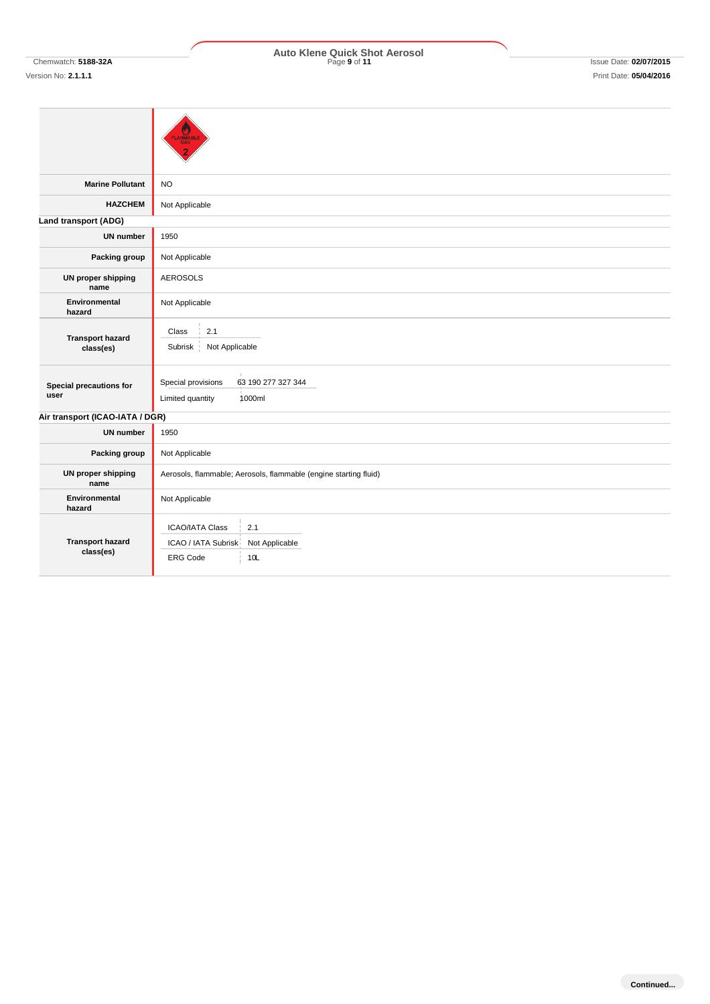# **Marine Pollutant** NO **HAZCHEM** Not Applicable **Land transport (ADG) UN number** 1950 **Packing group** Not Applicable **UN proper shipping name** AEROSOLS **Environmental hazard** Not Applicable **Transport hazard class(es) Special precautions for user** Special provisions 63 190 277 327 344 Limited quantity 1000ml **Air transport (ICAO-IATA / DGR) UN number** 1950 **Packing group** Not Applicable **UN proper shipping name** Aerosols, flammable; Aerosols, flammable (engine starting fluid) **Environmental hazard** Not Applicable **Transport hazard class(es)**  $Class \begin{array}{c} |2.1 \end{array}$ Subrisk Not Applicable ICAO/IATA Class 2.1 ICAO / IATA Subrisk Not Applicable ERG Code 10L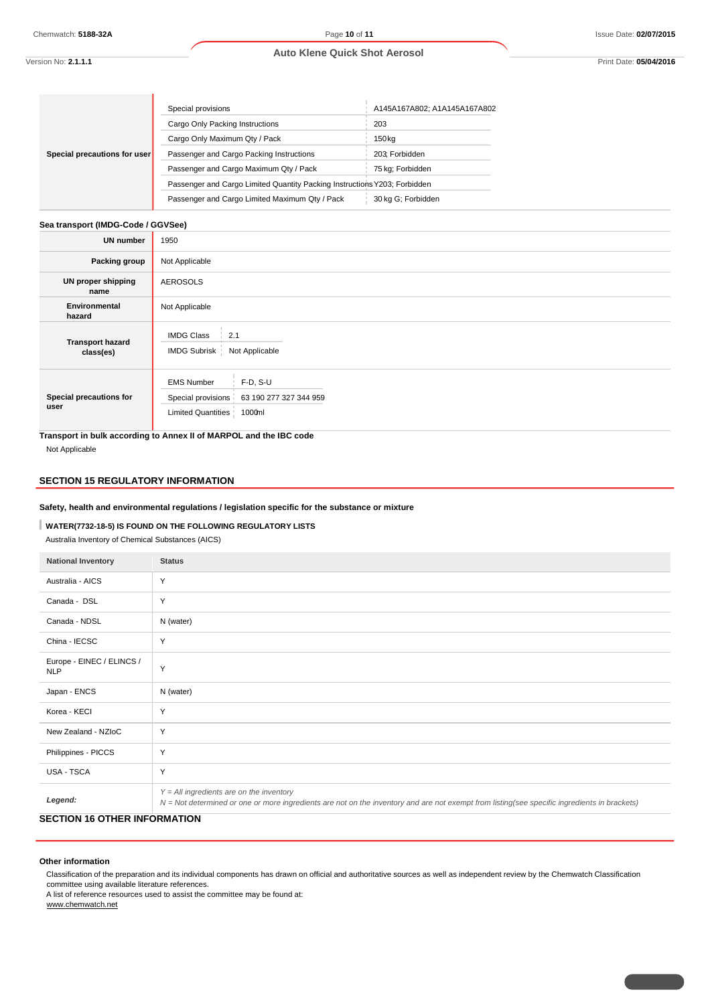### **Auto Klene Quick Shot Aerosol**

Version No: **2.1.1.1** Print Date: **05/04/2016**

| Special precautions for user | Special provisions                                                        | A145A167A802; A1A145A167A802 |
|------------------------------|---------------------------------------------------------------------------|------------------------------|
|                              | Cargo Only Packing Instructions                                           | 203                          |
|                              | Cargo Only Maximum Qty / Pack                                             | 150 <sub>kg</sub>            |
|                              | Passenger and Cargo Packing Instructions                                  | 203: Forbidden               |
|                              | Passenger and Cargo Maximum Qty / Pack                                    | 75 kg; Forbidden             |
|                              | Passenger and Cargo Limited Quantity Packing Instructions Y203; Forbidden |                              |
|                              | Passenger and Cargo Limited Maximum Qty / Pack                            | 30 kg G; Forbidden           |

# **Sea transport (IMDG-Code / GGVSee)**

τ,

| <b>UN number</b>                     | 1950                                                                                                                   |
|--------------------------------------|------------------------------------------------------------------------------------------------------------------------|
| Packing group                        | Not Applicable                                                                                                         |
| <b>UN proper shipping</b><br>name    | <b>AEROSOLS</b>                                                                                                        |
| Environmental<br>hazard              | Not Applicable                                                                                                         |
| <b>Transport hazard</b><br>class(es) | <b>IMDG Class</b><br>2.1<br>IMDG Subrisk<br>Not Applicable                                                             |
| Special precautions for<br>user      | $F-D, S-U$<br><b>EMS Number</b><br>Special provisions<br>63 190 277 327 344 959<br><b>Limited Quantities</b><br>1000ml |

**Transport in bulk according to Annex II of MARPOL and the IBC code** Not Applicable

# **SECTION 15 REGULATORY INFORMATION**

**Safety, health and environmental regulations / legislation specific for the substance or mixture**

# **WATER(7732-18-5) IS FOUND ON THE FOLLOWING REGULATORY LISTS**

Australia Inventory of Chemical Substances (AICS)

| <b>National Inventory</b>               | <b>Status</b>                                                                                                                                                                              |
|-----------------------------------------|--------------------------------------------------------------------------------------------------------------------------------------------------------------------------------------------|
| Australia - AICS                        | Y                                                                                                                                                                                          |
| Canada - DSL                            | Y                                                                                                                                                                                          |
| Canada - NDSL                           | N (water)                                                                                                                                                                                  |
| China - IECSC                           | Y                                                                                                                                                                                          |
| Europe - EINEC / ELINCS /<br><b>NLP</b> | Y                                                                                                                                                                                          |
| Japan - ENCS                            | N (water)                                                                                                                                                                                  |
| Korea - KECI                            | Y                                                                                                                                                                                          |
| New Zealand - NZIoC                     | Y                                                                                                                                                                                          |
| Philippines - PICCS                     | Y                                                                                                                                                                                          |
| USA - TSCA                              | Y                                                                                                                                                                                          |
| Legend:                                 | $Y = All$ ingredients are on the inventory<br>N = Not determined or one or more ingredients are not on the inventory and are not exempt from listing(see specific ingredients in brackets) |

# **SECTION 16 OTHER INFORMATION**

#### **Other information**

Classification of the preparation and its individual components has drawn on official and authoritative sources as well as independent review by the Chemwatch Classification committee using available literature references.

A list of reference resources used to assist the committee may be found at:

www.chemwatch.net